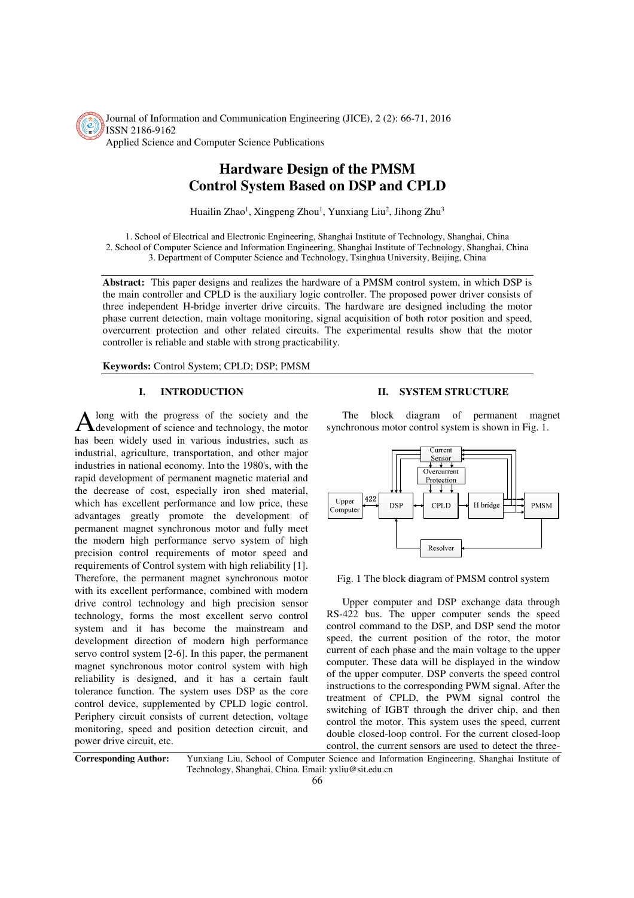Journal of Information and Communication Engineering (JICE), 2 (2): 66-71, 2016 ISSN 2186-9162 Applied Science and Computer Science Publications

# **Hardware Design of the PMSM Control System Based on DSP and CPLD**

Huailin Zhao<sup>1</sup>, Xingpeng Zhou<sup>1</sup>, Yunxiang Liu<sup>2</sup>, Jihong Zhu<sup>3</sup>

1. School of Electrical and Electronic Engineering, Shanghai Institute of Technology, Shanghai, China 2. School of Computer Science and Information Engineering, Shanghai Institute of Technology, Shanghai, China 3. Department of Computer Science and Technology, Tsinghua University, Beijing, China

**Abstract:** This paper designs and realizes the hardware of a PMSM control system, in which DSP is the main controller and CPLD is the auxiliary logic controller. The proposed power driver consists of three independent H-bridge inverter drive circuits. The hardware are designed including the motor phase current detection, main voltage monitoring, signal acquisition of both rotor position and speed, overcurrent protection and other related circuits. The experimental results show that the motor controller is reliable and stable with strong practicability.

**Keywords:** Control System; CPLD; DSP; PMSM

# **I. INTRODUCTION**

long with the progress of the society and the A long with the progress of the society and the development of science and technology, the motor has been widely used in various industries, such as industrial, agriculture, transportation, and other major industries in national economy. Into the 1980's, with the rapid development of permanent magnetic material and the decrease of cost, especially iron shed material, which has excellent performance and low price, these advantages greatly promote the development of permanent magnet synchronous motor and fully meet the modern high performance servo system of high precision control requirements of motor speed and requirements of Control system with high reliability [1]. Therefore, the permanent magnet synchronous motor with its excellent performance, combined with modern drive control technology and high precision sensor technology, forms the most excellent servo control system and it has become the mainstream and development direction of modern high performance servo control system [2-6]. In this paper, the permanent magnet synchronous motor control system with high reliability is designed, and it has a certain fault tolerance function. The system uses DSP as the core control device, supplemented by CPLD logic control. Periphery circuit consists of current detection, voltage monitoring, speed and position detection circuit, and power drive circuit, etc.

#### **II. SYSTEM STRUCTURE**

The block diagram of permanent magnet synchronous motor control system is shown in Fig. 1.



Fig. 1 The block diagram of PMSM control system

Upper computer and DSP exchange data through RS-422 bus. The upper computer sends the speed control command to the DSP, and DSP send the motor speed, the current position of the rotor, the motor current of each phase and the main voltage to the upper computer. These data will be displayed in the window of the upper computer. DSP converts the speed control instructions to the corresponding PWM signal. After the treatment of CPLD, the PWM signal control the switching of IGBT through the driver chip, and then control the motor. This system uses the speed, current double closed-loop control. For the current closed-loop control, the current sensors are used to detect the three-

**Corresponding Author:** Yunxiang Liu, School of Computer Science and Information Engineering, Shanghai Institute of Technology, Shanghai, China. Email: yxliu@sit.edu.cn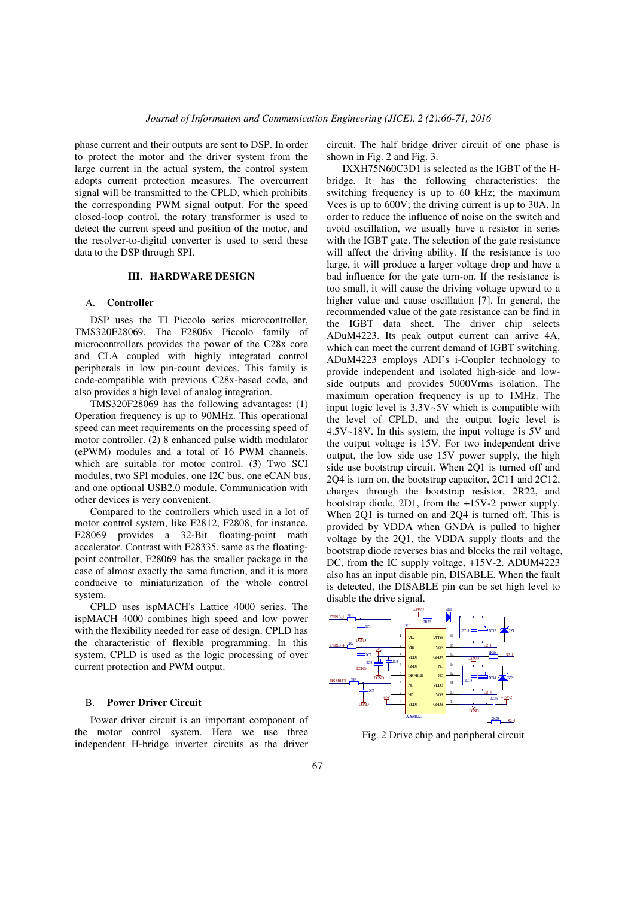phase current and their outputs are sent to DSP. In order to protect the motor and the driver system from the large current in the actual system, the control system adopts current protection measures. The overcurrent signal will be transmitted to the CPLD, which prohibits the corresponding PWM signal output. For the speed closed-loop control, the rotary transformer is used to detect the current speed and position of the motor, and the resolver-to-digital converter is used to send these data to the DSP through SPI.

# **III. HARDWARE DESIGN**

#### A. **Controller**

DSP uses the TI Piccolo series microcontroller, TMS320F28069. The F2806x Piccolo family of microcontrollers provides the power of the C28x core and CLA coupled with highly integrated control peripherals in low pin-count devices. This family is code-compatible with previous C28x-based code, and also provides a high level of analog integration.

TMS320F28069 has the following advantages: (1) Operation frequency is up to 90MHz. This operational speed can meet requirements on the processing speed of motor controller. (2) 8 enhanced pulse width modulator (ePWM) modules and a total of 16 PWM channels, which are suitable for motor control. (3) Two SCI modules, two SPI modules, one I2C bus, one eCAN bus, and one optional USB2.0 module. Communication with other devices is very convenient.

Compared to the controllers which used in a lot of motor control system, like F2812, F2808, for instance, F28069 provides a 32-Bit floating-point math accelerator. Contrast with F28335, same as the floatingpoint controller, F28069 has the smaller package in the case of almost exactly the same function, and it is more conducive to miniaturization of the whole control system.

CPLD uses ispMACH's Lattice 4000 series. The ispMACH 4000 combines high speed and low power with the flexibility needed for ease of design. CPLD has the characteristic of flexible programming. In this system, CPLD is used as the logic processing of over current protection and PWM output.

#### B. **Power Driver Circuit**

Power driver circuit is an important component of the motor control system. Here we use three independent H-bridge inverter circuits as the driver circuit. The half bridge driver circuit of one phase is shown in Fig. 2 and Fig. 3.

IXXH75N60C3D1 is selected as the IGBT of the Hbridge. It has the following characteristics: the switching frequency is up to 60 kHz; the maximum Vces is up to 600V; the driving current is up to 30A. In order to reduce the influence of noise on the switch and avoid oscillation, we usually have a resistor in series with the IGBT gate. The selection of the gate resistance will affect the driving ability. If the resistance is too large, it will produce a larger voltage drop and have a bad influence for the gate turn-on. If the resistance is too small, it will cause the driving voltage upward to a higher value and cause oscillation [7]. In general, the recommended value of the gate resistance can be find in the IGBT data sheet. The driver chip selects ADuM4223. Its peak output current can arrive 4A, which can meet the current demand of IGBT switching. ADuM4223 employs ADI's i-Coupler technology to provide independent and isolated high-side and lowside outputs and provides 5000Vrms isolation. The maximum operation frequency is up to 1MHz. The input logic level is 3.3V~5V which is compatible with the level of CPLD, and the output logic level is 4.5V~18V. In this system, the input voltage is 5V and the output voltage is 15V. For two independent drive output, the low side use 15V power supply, the high side use bootstrap circuit. When 2Q1 is turned off and 2Q4 is turn on, the bootstrap capacitor, 2C11 and 2C12, charges through the bootstrap resistor, 2R22, and bootstrap diode, 2D1, from the +15V-2 power supply. When 2Q1 is turned on and 2Q4 is turned off, This is provided by VDDA when GNDA is pulled to higher voltage by the 2Q1, the VDDA supply floats and the bootstrap diode reverses bias and blocks the rail voltage, DC, from the IC supply voltage, +15V-2. ADUM4223 also has an input disable pin, DISABLE. When the fault is detected, the DISABLE pin can be set high level to disable the drive signal.



Fig. 2 Drive chip and peripheral circuit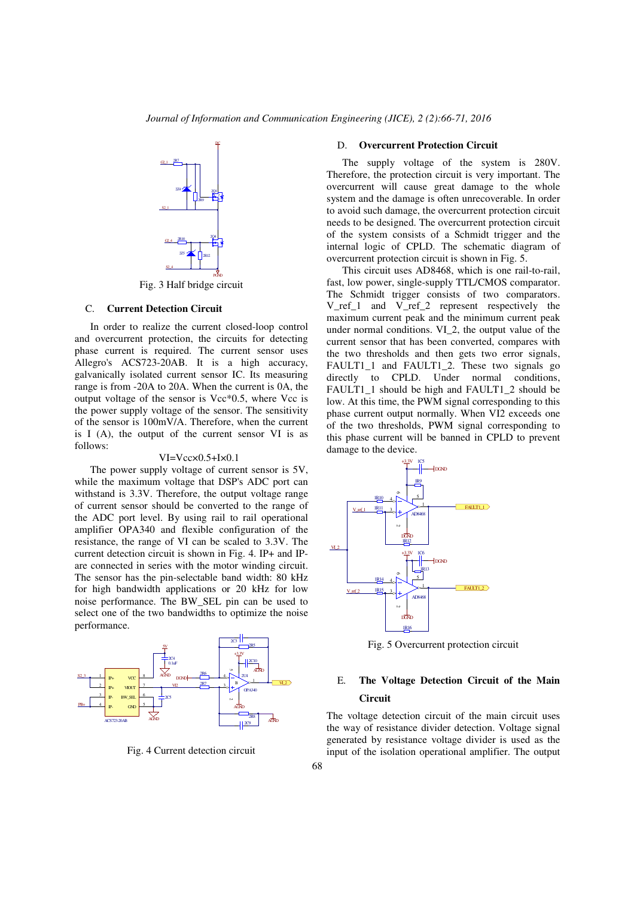

Fig. 3 Half bridge circuit

## C. **Current Detection Circuit**

In order to realize the current closed-loop control and overcurrent protection, the circuits for detecting phase current is required. The current sensor uses Allegro's ACS723-20AB. It is a high accuracy, galvanically isolated current sensor IC. Its measuring range is from -20A to 20A. When the current is 0A, the output voltage of the sensor is Vcc\*0.5, where Vcc is the power supply voltage of the sensor. The sensitivity of the sensor is 100mV/A. Therefore, when the current is I (A), the output of the current sensor VI is as follows:

#### VI=Vcc×0.5+I×0.1

The power supply voltage of current sensor is 5V, while the maximum voltage that DSP's ADC port can withstand is 3.3V. Therefore, the output voltage range of current sensor should be converted to the range of the ADC port level. By using rail to rail operational amplifier OPA340 and flexible configuration of the resistance, the range of VI can be scaled to 3.3V. The current detection circuit is shown in Fig. 4. IP+ and IPare connected in series with the motor winding circuit. The sensor has the pin-selectable band width: 80 kHz for high bandwidth applications or 20 kHz for low noise performance. The BW\_SEL pin can be used to select one of the two bandwidths to optimize the noise performance.



Fig. 4 Current detection circuit

#### D. **Overcurrent Protection Circuit**

The supply voltage of the system is 280V. Therefore, the protection circuit is very important. The overcurrent will cause great damage to the whole system and the damage is often unrecoverable. In order to avoid such damage, the overcurrent protection circuit needs to be designed. The overcurrent protection circuit of the system consists of a Schmidt trigger and the internal logic of CPLD. The schematic diagram of overcurrent protection circuit is shown in Fig. 5.

This circuit uses AD8468, which is one rail-to-rail, fast, low power, single-supply TTL/CMOS comparator. The Schmidt trigger consists of two comparators. V\_ref\_1 and V\_ref\_2 represent respectively the maximum current peak and the minimum current peak under normal conditions. VI\_2, the output value of the current sensor that has been converted, compares with the two thresholds and then gets two error signals, FAULT1\_1 and FAULT1\_2. These two signals go directly to CPLD. Under normal conditions, FAULT1\_1 should be high and FAULT1\_2 should be low. At this time, the PWM signal corresponding to this phase current output normally. When VI2 exceeds one of the two thresholds, PWM signal corresponding to this phase current will be banned in CPLD to prevent damage to the device.



Fig. 5 Overcurrent protection circuit

# E. **The Voltage Detection Circuit of the Main Circuit**

The voltage detection circuit of the main circuit uses the way of resistance divider detection. Voltage signal generated by resistance voltage divider is used as the input of the isolation operational amplifier. The output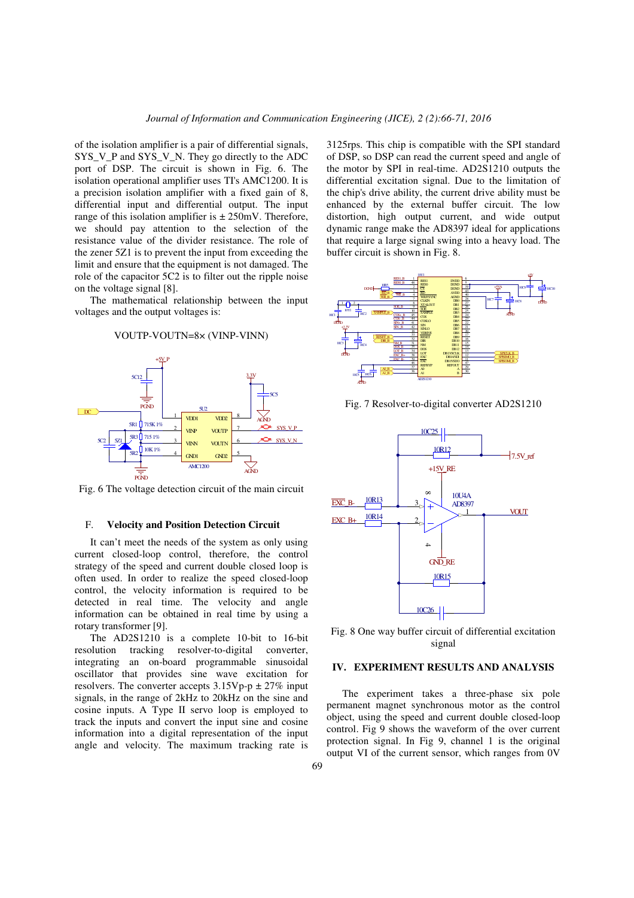of the isolation amplifier is a pair of differential signals, SYS\_V\_P and SYS\_V\_N. They go directly to the ADC port of DSP. The circuit is shown in Fig. 6. The isolation operational amplifier uses TI's AMC1200. It is a precision isolation amplifier with a fixed gain of 8, differential input and differential output. The input range of this isolation amplifier is  $\pm 250$  mV. Therefore, we should pay attention to the selection of the resistance value of the divider resistance. The role of the zener 5Z1 is to prevent the input from exceeding the limit and ensure that the equipment is not damaged. The role of the capacitor 5C2 is to filter out the ripple noise on the voltage signal [8].

The mathematical relationship between the input voltages and the output voltages is:





Fig. 6 The voltage detection circuit of the main circuit

#### F. **Velocity and Position Detection Circuit**

It can't meet the needs of the system as only using current closed-loop control, therefore, the control strategy of the speed and current double closed loop is often used. In order to realize the speed closed-loop control, the velocity information is required to be detected in real time. The velocity and angle information can be obtained in real time by using a rotary transformer [9].

The AD2S1210 is a complete 10-bit to 16-bit resolution tracking resolver-to-digital converter, integrating an on-board programmable sinusoidal oscillator that provides sine wave excitation for resolvers. The converter accepts  $3.15Vp-p \pm 27\%$  input signals, in the range of 2kHz to 20kHz on the sine and cosine inputs. A Type II servo loop is employed to track the inputs and convert the input sine and cosine information into a digital representation of the input angle and velocity. The maximum tracking rate is 3125rps. This chip is compatible with the SPI standard of DSP, so DSP can read the current speed and angle of the motor by SPI in real-time. AD2S1210 outputs the differential excitation signal. Due to the limitation of the chip's drive ability, the current drive ability must be enhanced by the external buffer circuit. The low distortion, high output current, and wide output dynamic range make the AD8397 ideal for applications that require a large signal swing into a heavy load. The buffer circuit is shown in Fig. 8.



Fig. 7 Resolver-to-digital converter AD2S1210



Fig. 8 One way buffer circuit of differential excitation signal

#### **IV. EXPERIMENT RESULTS AND ANALYSIS**

The experiment takes a three-phase six pole permanent magnet synchronous motor as the control object, using the speed and current double closed-loop control. Fig 9 shows the waveform of the over current protection signal. In Fig 9, channel 1 is the original output VI of the current sensor, which ranges from 0V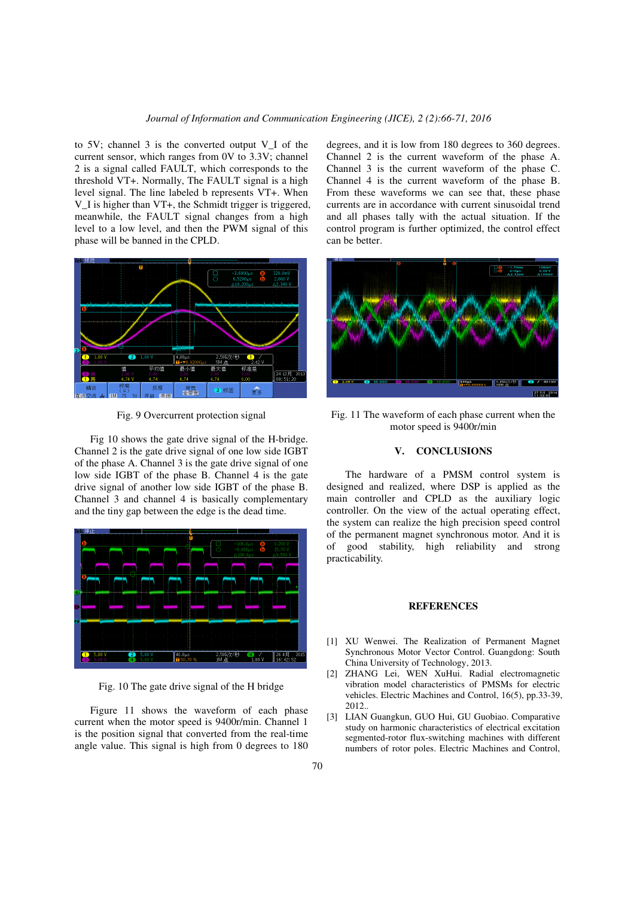to 5V; channel 3 is the converted output V\_I of the current sensor, which ranges from 0V to 3.3V; channel 2 is a signal called FAULT, which corresponds to the threshold VT+. Normally, The FAULT signal is a high level signal. The line labeled b represents VT+. When V\_I is higher than VT+, the Schmidt trigger is triggered, meanwhile, the FAULT signal changes from a high level to a low level, and then the PWM signal of this phase will be banned in the CPLD.



Fig. 9 Overcurrent protection signal

Fig 10 shows the gate drive signal of the H-bridge. Channel 2 is the gate drive signal of one low side IGBT of the phase A. Channel 3 is the gate drive signal of one low side IGBT of the phase B. Channel 4 is the gate drive signal of another low side IGBT of the phase B. Channel 3 and channel 4 is basically complementary and the tiny gap between the edge is the dead time.



Fig. 10 The gate drive signal of the H bridge

Figure 11 shows the waveform of each phase current when the motor speed is 9400r/min. Channel 1 is the position signal that converted from the real-time angle value. This signal is high from 0 degrees to 180 degrees, and it is low from 180 degrees to 360 degrees. Channel 2 is the current waveform of the phase A. Channel 3 is the current waveform of the phase C. Channel 4 is the current waveform of the phase B. From these waveforms we can see that, these phase currents are in accordance with current sinusoidal trend and all phases tally with the actual situation. If the control program is further optimized, the control effect can be better.



Fig. 11 The waveform of each phase current when the motor speed is 9400r/min

# **V. CONCLUSIONS**

 The hardware of a PMSM control system is designed and realized, where DSP is applied as the main controller and CPLD as the auxiliary logic controller. On the view of the actual operating effect, the system can realize the high precision speed control of the permanent magnet synchronous motor. And it is of good stability, high reliability and strong practicability.

# **REFERENCES**

- [1] XU Wenwei. The Realization of Permanent Magnet Synchronous Motor Vector Control. Guangdong: South China University of Technology, 2013.
- [2] ZHANG Lei, WEN XuHui. Radial electromagnetic vibration model characteristics of PMSMs for electric vehicles. Electric Machines and Control, 16(5), pp.33-39, 2012..
- [3] LIAN Guangkun, GUO Hui, GU Guobiao. Comparative study on harmonic characteristics of electrical excitation segmented-rotor flux-switching machines with different numbers of rotor poles. Electric Machines and Control,